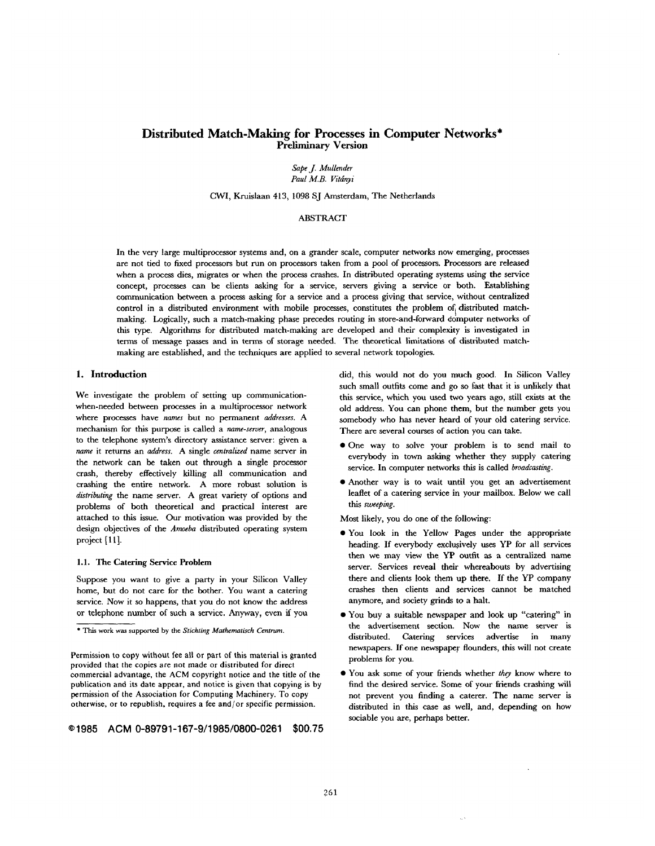# **Distributed Match-Making for Processes in Computer Networks\***  Preliminary **Version**

*Sape j. Mullender Paul M.B. Vitdnyi* 

CWI, Kruislaan 413, 1098 SJ Amsterdam, The Netherlands

# ABSTRACT

In the very large multiprocessor systems and, on a grander scale, computer networks now emerging, processes are not tied to fixed processors but run on processors taken from a pool of processors. Processors are released when a process dies, migrates or when the process crashes. In distributed operating systems using the service concept, processes can be clients asking for a service, servers giving a service or both. Establishing communication between a process asking for a service and a process giving that service, without centralized control in a distributed environment with mobile processes, constitutes the problem of distributed matchmaking. Logically, such a match-making phase precedes routing in store-and-forward domputer networks of this type. Algorithms for distributed match-making are developed and their complexity is investigated in terms of message passes and in terms of storage needed. The theoretical limitations of distributed matchmaking are established, and the techniques are applied to several network topologies.

# **1. Introduction**

We investigate the problem of setting up communicationwhen-needed between processes in a multiprocessor network where processes have *names* but no permanent *addresses. A*  mechanism for this purpose is called a *name-sewer,* analogous to the telephone system's directory assistance server: given a *name* it returns an *address.* A single *centralized* name server in the network can be taken out through a single processor crash, thereby effectively killing all communication and crashing the entire network. A more robust solution is *distributing* the name server. A great variety of options and problems of both theoretical and practical interest are attached to this issue. Our motivation was provided by the design objectives of the *Amoeba* distributed operating system project [11].

## 1.1. The Catering Service Problem

Suppose you want to give a party in your Silicon Valley home, but do not care for the bother. You want a catering service. Now it so happens, that you do not know the address or telephone number of such a service. Anyway, even if you

**©1985 ACM 0-89791-167-9/1985/0800-0261 \$00.75** 

did, this would not do you much good. In Silicon Valley such small outfits come and go so fast that it is unlikely that this service, which you used two years ago, still exists at the old address. You can phone them, but the number gets you somebody who has never heard of your old catering service. There are several courses of action you can take.

- One way to solve your problem is to send mail to everybody in town asking whether they supply catering service. In computer networks this is called *broadcasting.*
- Another way is to wait until you get an advertisement leaflet of a catering service in your mailbox. Below we call this *sweeping.*

Most likely, you do one of the following:

- You look in the Yellow Pages under the appropriate heading. If everybody exclusively uses YP for all services then we may view the. YP outfit as a centralized name server. Services reveal their whereabouts by advertising there and clients look them up there. If the YP company crashes then clients and services cannot be matched anymore, and society grinds to a halt.
- You buy a suitable newspaper and look up "catering" in the advertisement section. Now the name server is distributed. Catering services advertise in many newspapers. If one newspaper flounders, this will not create problems for you.
- You ask some of your friends whether *they* know where to find the desired service. Some of your friends crashing will not prevent you finding a caterer. The name server is distributed in this case as well, and, depending on how sociable you are, perhaps better.

<sup>\*</sup> This work was supported by the *Stichting Mathematisch Centrum.* 

Permission to copy without fee all or part of this material is granted provided that the copies are not made or distributed for direct commercial advantage, the ACM copyright notice and the title of the publication and its date appear, and notice is given that copying is by permission of the Association for Computing Machinery. To copy otherwise, or to republish, requires a fee and/or specific permission.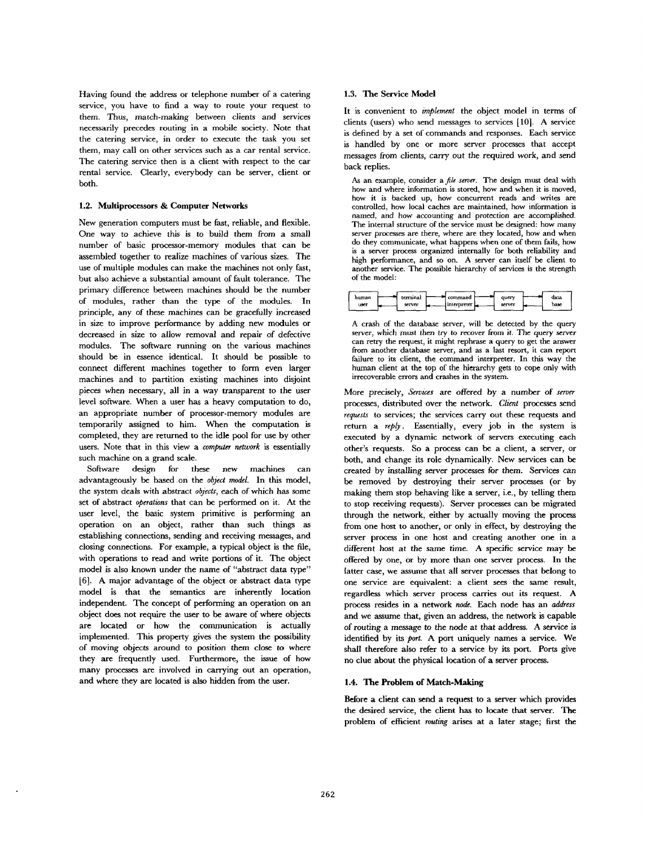Having found the address or telephone number of a catering service, you have to find a way to route your request to them. Thus, match-making between clients and services necessarily precedes routing in a mobile society. Note that the catering service, in order to execute the task you set them, may call on other services such as a car rental service. The catering service then is a client with respect to the car rental service. Clearly, everybody can be server, client or both.

#### 1.2. Multiprocessors & **Computer Networks**

New generation computers must be fast, reliable, and flexible. One way to achieve this is to build them from a small number of basic processor-memory modules that can be assembled together to realize machines of various sizes. The use of multiple modules can make the machines not only fast, but also achieve a substantial amount of fault tolerance. The primary difference between machines should be the number of modules, rather than the type of the modules. In principle, any of these machines can be gracefully increased in size to improve performance by adding new modules or decreased in size to allow removal and repair of defective modules. The software running on the various machines should be in essence identical. It should be possible to connect different machines together to form even larger machines and to partition existing machines into disjoint pieces when necessary, all in a way transparent to the user level software. When a user has a heavy computation to do, an appropriate number of processor-memory modules are temporarily assigned to him. When the computation is completed, they are returned to the idle pool for use by other users. Note that in this view a *computer network* is essentially such machine on a grand scale.

Software design for these new machines can advantageously be based on the *object model.* In this model, the system deals with abstract *objects,* each of which has some set of abstract *operations* that can be performed on it. At the user level, the basic system primitive is performing an operation on an object, rather than such things as establishing connections, sending and receiving messages, and closing connections. For example, a typical object is the file, with operations to read and write portions of it. The object model is also known under the name of "abstract data type" [6]. A major advantage of the object or abstract data type model is that the semantics are inherently location independent. The concept of performing an operation on an object does not require the user to be aware of where objects are located or how the communication is actually implemented. This property gives the system the possibility of moving objects around to position them close to where they are frequently used. Furthermore, the issue of how many processes are involved in carrying out an operation, and where they are located is also hidden from the user.

### 1.3. The Service Model

It is convenient to *implement* the object model in terms of clients (users) who send messages to services [10]. A service is defined by a set of commands and responses. Each service is handled by one or more server processes that accept messages from clients, carry out the required work, and send back replies.

As an example, consider a *file server.* The design must deal with how and where information is stored, how and when it is moved, how it is backed up, how concurrent reads and writes are controlled, how local caches are maintained, how information is named, and how accounting and protection are accomplished, The internal structure of the service must be designed: how many server processes are there, where are they located, how and when do they communicate, what happens when one of them fails, how is a server process organized imemally for both reliability and high performance, and so on. A server can itself be client to another service. The possible hierarchy of services is the strength of the model:

| humar | terminal | command       | query  | data |
|-------|----------|---------------|--------|------|
| user  | server   | interpreter L | server | base |
|       |          |               |        |      |

A crash of the database server, will be detected by the query server, which must then try to recover from it. The query server can retry the request, it might rephrase a query to get the answer from another database server, and as a last resort, it can report failure to its client, the command interpreter. In this way the human client at the top of the hierarchy gets to cope only with irrecoverable errors and crashes in the system.

More precisely, *Services* are offered by a number of *server*  processes, distributed over the network. *Client* processes send *requests* to services; the services carry out these requests and return a *reply.* Essentially, every job in the system is executed by a dynamic network of servers executing each other's requests. So a process can be a client, a server, or both, and change its role dynamically. New services can be created by installing server processes for them. Services can be removed by destroying their server processes (or by making them stop behaving like a server, i.e., by telling them to stop receiving requests). Server processes can be migrated through the network, either by actually moving the process from one host to another, or only in effect, by destroying the server process in one host and creating another one in a different host at the same time. A specific service may be offered by one, or by more than one server process. In the latter case, we assume that all server processes that belong to one service are equivalent: a client sees the same result, regardless which server process carries out its request. A process resides in a network *node.* Each node has an *address*  and we assume that, given an address, the network is capable of routing a message to the node at that address. A service is identified by its *port.* A port uniquely names a service. We shall therefore also refer to a service by its port. Ports give no clue about the physical location of a server process.

# **1.4. The Problem of Match-Maklng**

**Before a** client can send a request to **a server** which provides the desired service, the client has to locate that server. The problem of effncient *routing* arises at a later stage; first the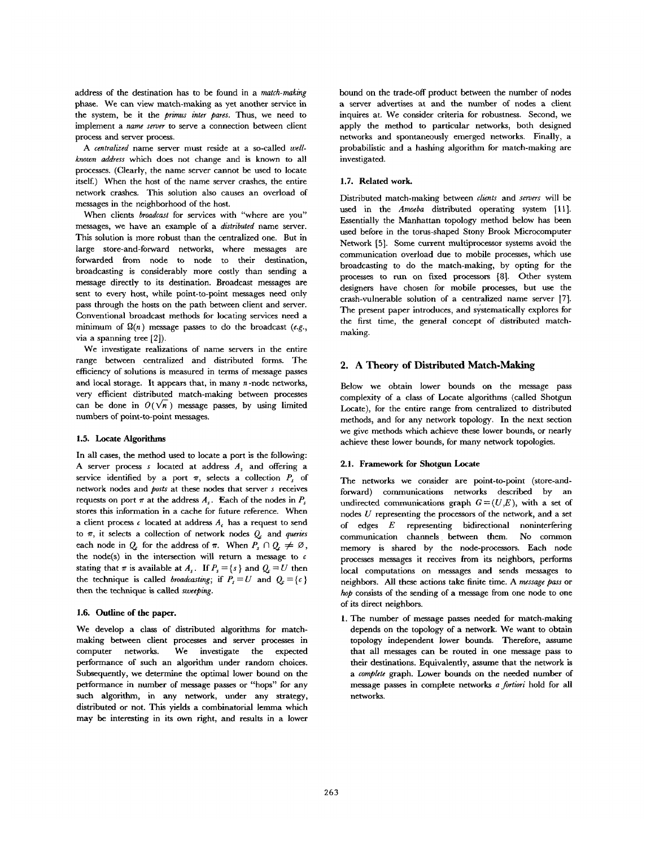address of the destination has to be found in a *match-making*  phase. We can view match-making as yet another service in the system, be it the *primus inter pares.* Thus, we need to implement a *name server* to serve a connection between client process and server process.

*A centralized* name server must reside at a so-called *wellknown address* which does not change and is known to all processes. (Clearly, the name server cannot be used to locate itself.) When the host of the name server crashes, the entire network crashes. This solution also causes an overload of messages in the neighborhood of the host.

When clients *broadcast* for services with "where are you" messages, we have an example of a *distributed* name server. This solution is more robust than the centralized one. But in large store-and-forward networks, where messages are forwarded from node to node to their destination, broadcasting is considerably more costly than sending a message directly to its destination. Broadcast messages are sent to every host, while point-to-point messages need only pass through the hosts on the path between client and server. Conventional broadcast methods for locating services need a minimum of  $\Omega(n)$  message passes to do the broadcast (e.g., via a spanning tree [2]).

We investigate realizations of name servers in the entire range between centralized and distributed forms. The efficiency of solutions is measured in terms of message passes and local storage. It appears that, in many n-node networks, very efficient distributed match-making between processes can be done in  $O(\sqrt{n})$  message passes, by using limited numbers of point-to-point messages.

# 1.5. Locate Algorithms

In all cases, the method used to locate a port is the following: A server process  $s$  located at address  $A$ , and offering a service identified by a port  $\pi$ , selects a collection  $P_s$  of network nodes and *posts* at these nodes that server s receives requests on port  $\pi$  at the address  $A_s$ . Each of the nodes in  $P_s$ stores this information in a cache for future reference. When a client process  $\epsilon$  located at address  $A_{\epsilon}$  has a request to send to  $\pi$ , it selects a collection of network nodes  $Q_c$  and *queries* each node in  $Q_c$  for the address of  $\pi$ . When  $P_s \cap Q_c \neq \emptyset$ , the node(s) in the intersection will return a message to  $\epsilon$ stating that  $\pi$  is available at  $A_s$ . If  $P_s = \{s \}$  and  $Q_c = U$  then the technique is called *broadcasting*; if  $P_s = U$  and  $Q_c = \{c\}$ then the technique is called *sweeping.* 

# 1.6. Outline **of the** paper.

We develop a class of distributed algorithms for matchmaking between client processes and server processes in computer networks. We investigate the expected performance of such an algorithm under random choices. Subsequently, we determine the optimal lower bound on the performance in number of message passes or "hops" for any such algorithm, in any network, under any strategy, distributed or not. This yields a combinatorial lemma which may be interesting in its own right, and results in a lower bound on the trade-off product between the number of nodes a server advertises at and the number of nodes a client inquires at. We consider criteria for robustness. Second, we apply the method to particular networks, both designed networks and spontaneously emerged networks. Finally, a probabilistic and a hashing algorithm for match-making are investigated.

# 1.7. Related **work.**

Distributed match-making between *clients* and *servers* will be used in the *Amoeba* distributed operating system [11]. Essentially the Manhattan topology method below has been used before in the toms-shaped Stony Brook Microcomputer Network [5]. Some current multiprocessor systems avoid the communication overload due to mobile processes, which use broadcasting to do the match-making, by opting for the processes to run on fixed processors [8]. Other system designers have chosen for mobile processes, but use the crash-vulnerable solution of a centralized name server [7]. The present paper introduces, and systematically explores for the first time, the general concept of distributed matchmaking.

# 2. A Theory of Distributed Match-Making

Below we obtain lower bounds on the message pass complexity of a class of Locate algorithms (called Shotgun Locate), for the entire range from centralized to distributed methods, and for any network topology. In the next section we give methods which achieve these lower bounds, or nearly achieve these lower bounds, for many network topologies.

# 2.1. **Framework for Shotgun** Locate

The networks we consider are point-to-point (store-andforward) communications networks described by an undirected communications graph  $G=(U,E)$ , with a set of nodes  $U$  representing the processors of the network, and a set of edges E representing bidirectional noninterfering communication channels between them. No common memory is shared by the node-processors. Each node processes messages it receives from its neighbors, performs local computations on messages and sends messages to neighbors. All these actions take finite time. A *message pass* or *hop* consists of the sending of a message from one node to one of its direct neighbors.

1. The number of message passes needed for match-making depends on the topology of a network. We want to obtain topology independent lower bounds. Therefore, assume that all messages can be routed in one message pass to their destinations. Equivalently, assume that the network is *a complete* graph. Lower bounds on the needed number of message passes in complete networks *a Jbrtiori* hold for all networks.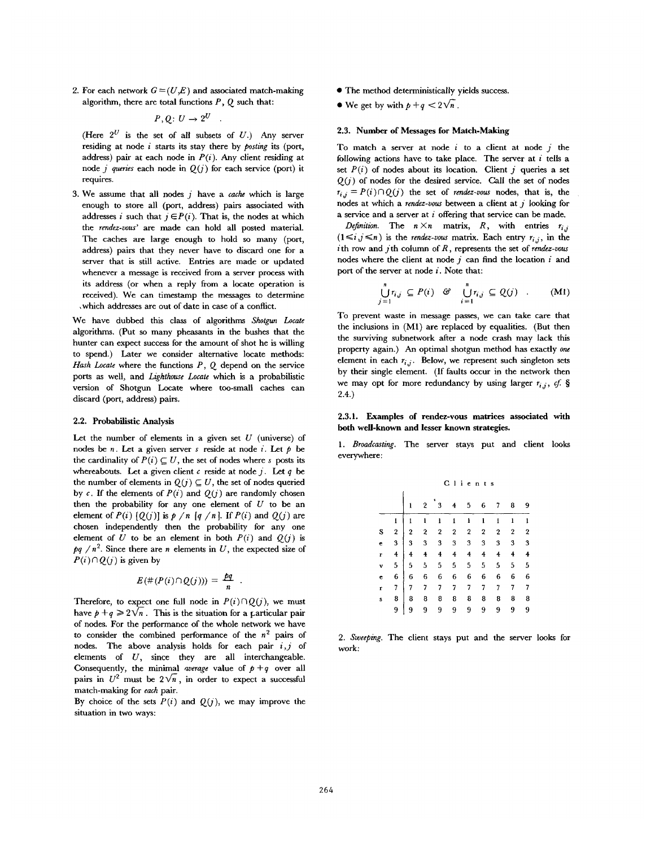2. For each network  $G = (U, E)$  and associated match-making algorithm, there are total functions  $P$ ,  $Q$  such that:

$$
P,Q\colon U\to 2^U
$$

(Here  $2^U$  is the set of all subsets of U.) Any server residing at node i starts its stay there by *posting* its (port, address) pair at each node in  $P(i)$ . Any client residing at node *j* queries each node in  $Q(j)$  for each service (port) it requires.

3. We assume that all nodes  $j$  have a *cache* which is large enough to store all (port, address) pairs associated with addresses *i* such that  $j \in P(i)$ . That is, the nodes at which the *rendez-vous"* are made can hold all posted material. The caches are large enough to hold so many (port, address) pairs that they never have to discard one for a server that is still active. Entries are made or updated whenever a message is received from a server process with its address (or when a reply from a locate operation is received). We can timestamp the messages to determine ,which addresses are out of date in case of a conflict.

We have dubbed this class of algorithms *Shotgun Locate*  algorithms. (Put so many pheasants in the bushes that the hunter can expect success for the amount of shot he is willing to spend.) Later we consider alternative locate methods: *Hash Locate* where the functions P, Q depend on the service ports as well, and *Lighthouse Locate* which is a probabilistic version of Shotgun Locate where too-small caches can discard (port, address) pairs.

## 2.2. Probabilistic Analysis

Let the number of elements in a given set  $U$  (universe) of nodes be n. Let a given server s reside at node i. Let  $\phi$  be the cardinality of  $P(i) \subseteq U$ , the set of nodes where s posts its whereabouts. Let a given client  $c$  reside at node j. Let  $q$  be the number of elements in  $Q(j) \subseteq U$ , the set of nodes queried by c. If the elements of  $P(i)$  and  $Q(j)$  are randomly chosen then the probability for any one element of  $U$  to be an element of  $P(i)$   $[Q(j)]$  is  $p/n$  [q/n]. If  $P(i)$  and  $Q(j)$  are chosen independently then the probability for any one element of U to be an element in both  $P(i)$  and  $Q(j)$  is  $pq/n^2$ . Since there are n elements in U, the expected size of  $P(i) \cap Q(j)$  is given by

$$
E(\#(P(i)\cap Q(j))) = \frac{pq}{n}
$$

Therefore, to expect one full node in  $P(i) \cap Q(j)$ , we must have  $p + q \geqslant 2\sqrt{n}$ . This is the situation for a particular pair of nodes. For the performance of the whole network we have to consider the combined performance of the  $n^2$  pairs of nodes, The above analysis holds for each pair *i,j* of elements of  $U$ , since they are all interchangeable. Consequently, the minimal *average* value of  $p + q$  over all pairs in  $U^2$  must be  $2\sqrt{n}$ , in order to expect a successful match-making for *each* pair.

By choice of the sets  $P(i)$  and  $Q(j)$ , we may improve the situation in two ways:

- The method deterministically yields success.
- We get by with  $p + q < 2\sqrt{n}$ .

## **2.3. Number of Messages for Match-Making**

To match a server at node  $i$  to a client at node  $j$  the following actions have to take place. The server at  $i$  tells a set  $P(i)$  of nodes about its location. Client j queries a set  $Q(i)$  of nodes for the desired service. Call the set of nodes  $r_{i,j} = P(i) \cap Q(j)$  the set of *rendez-vous* nodes, that is, the nodes at which a *rendez-vous* between a client at j looking for a service and a server at  $i$  offering that service can be made.

*Definition.* The  $n \times n$  matrix, R, with entries  $r_{i,j}$  $(1 \le i, j \le n)$  is the *rendez-vous* matrix. Each entry  $r_i$ , in the ith row and jth column of R, represents the set of *rendez-vous*  nodes where the client at node  $j$  can find the location  $i$  and port of the server at node  $i$ . Note that:

$$
\bigcup_{j=1}^{n} r_{i,j} \subseteq P(i) \quad \mathcal{C} \quad \bigcup_{i=1}^{n} r_{i,j} \subseteq Q(j) \quad . \tag{M1}
$$

To prevent waste in message passes, we can take care that the inclusions in (M1) are replaced by equalities. (But then the surviving subnetwork after a node crash may lack this property again.) An optimal shotgun method has exactly *one*  element in each  $r_{i,j}$ . Below, we represent such singleton sets by their single element. (If faults occur in the network then we may opt for more redundancy by using larger  $r_{i,j}$ , cf. § 2.4.)

2.3.1. Examples of rendez-vous matrices associated with **both well-known and lesser known strategies.** 

*1. Broadcasting.* The server stays put and client looks everywhere:

|   |                |   | Clients                 |         |                         |         |                  |                  |                |                |  |
|---|----------------|---|-------------------------|---------|-------------------------|---------|------------------|------------------|----------------|----------------|--|
|   |                |   | $\overline{\mathbf{2}}$ | 3       | 4                       | 5       | 6                | 7                | 8              | 9              |  |
|   |                | 1 | ı                       | 1       | $\mathbf{1}$            | ı       | 1                | 1                | $\mathbf{I}$   | 1              |  |
| s | $\overline{2}$ | 2 | $\overline{2}$          | $\bf 2$ | $\boldsymbol{2}$        | $\,2\,$ | $\boldsymbol{2}$ | $\boldsymbol{2}$ | $\overline{2}$ | $\overline{2}$ |  |
| ė | 3              | 3 | 3                       | 3       | $\overline{\mathbf{3}}$ | 3       | 3                | 3                | 3              | 3              |  |
| r | 4              | 4 | 4                       | 4       | 4                       | 4       | 4                | 4                | 4              | 4              |  |
| v | 5              | 5 | 5                       | 5       | 5                       | 5       | 5                | 5                | 5              | 5              |  |
| ¢ | 6              | 6 | 6                       | 6       | 6                       | 6       | 6                | 6                | 6              | 6              |  |
| r | 7              | 7 | 7                       | 7       | 7                       | 7       | 7                | 7                | 7              | 7              |  |
| s | 8              | 8 | 8                       | 8       | 8                       | 8       | 8                | 8                | 8              | 8              |  |
|   | 9              | 9 | 9                       | 9       | 9                       | 9       | 9                | 9                | 9              | 9              |  |

*2. Sweeping.* The client stays put and the server looks for work: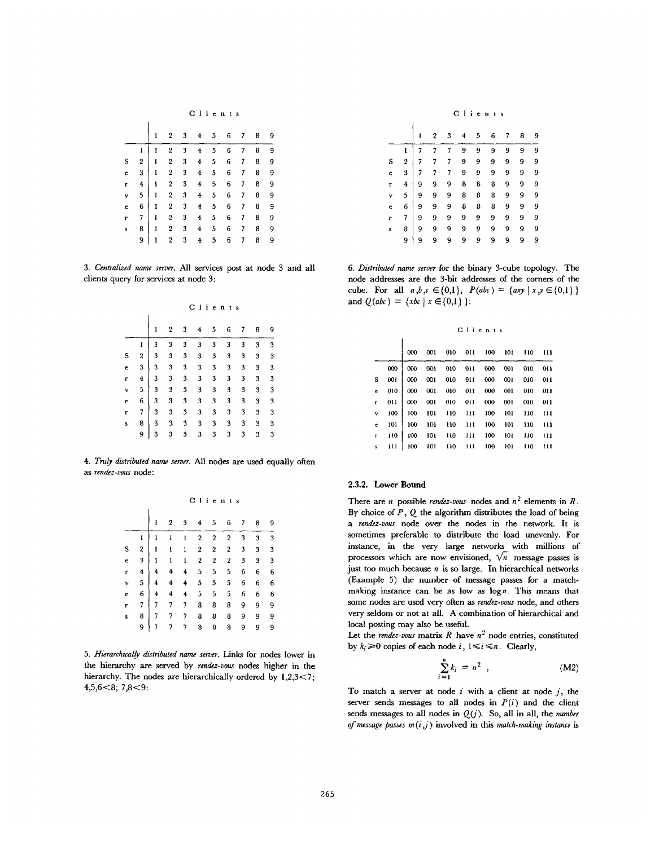|  |  |  |  | Clients |  |  |  |
|--|--|--|--|---------|--|--|--|
|--|--|--|--|---------|--|--|--|

|   |                         | $\mathbf{1}$ | 2                       | 3                       | 4                       | - 5            | 6 | 7                        | 8 | 9 |
|---|-------------------------|--------------|-------------------------|-------------------------|-------------------------|----------------|---|--------------------------|---|---|
|   | 1                       | ı            | $\boldsymbol{2}$        | 3                       | 4                       | 5              | 6 | 7                        | 8 | 9 |
| S | $\overline{\mathbf{c}}$ | 1            | $\overline{\mathbf{2}}$ | 3                       | 4                       | 5 <sub>5</sub> | 6 | $\overline{7}$           | 8 | 9 |
| ċ | $\mathbf{3}$            | $\mathbf{1}$ | $\sqrt{2}$              | $\overline{\mathbf{3}}$ | $\overline{\bf 4}$      | 5              | 6 | $\overline{\phantom{a}}$ | 8 | 9 |
| r | 4                       | $\mathbf{1}$ | $\bf 2$                 | $\bf 3$                 | $\overline{\mathbf{4}}$ | 5              | 6 | 7                        | 8 | 9 |
| v | 5 <sup>1</sup>          | $\mathbf{1}$ | $\overline{\mathbf{2}}$ | $\,$ 3 $\,$             | $\overline{\bf 4}$      | 5              | 6 | $\overline{\phantom{a}}$ | 8 | 9 |
| e | $6\phantom{.0}$         | $\mathbf{1}$ | $\overline{2}$          | $\overline{\mathbf{3}}$ | $\ddot{\textbf{4}}$     | 5 <sub>5</sub> | 6 | $\overline{7}$           | 8 | 9 |
| r | 7                       | $\mathbf{I}$ | $\,2\,$                 | 3                       | 4                       | 5              | 6 | 7                        | 8 | 9 |
| s | 8                       | $\mathbf 1$  | $\boldsymbol{2}$        | 3                       | 4                       | 5              | 6 | $\overline{7}$           | 8 | 9 |
|   | 9                       | ı            | $\overline{2}$          | 3                       | $\ddot{\textbf{4}}$     | 5              | 6 | 7                        | 8 | 9 |

*3. Centralized name server.* All services post at node 3 and all clients query for services at node 3:

|   |   | Clients |   |                         |                |   |   |   |   |                         |
|---|---|---------|---|-------------------------|----------------|---|---|---|---|-------------------------|
|   |   |         |   | 3                       |                | 5 | 6 |   | 8 | 9                       |
|   |   | 3       | 3 | 3                       | 3              | 3 | 3 | 3 | 3 | $\overline{\mathbf{3}}$ |
| S | 2 | 3       | 3 | 3                       | 3 <sup>1</sup> | 3 | 3 | 3 | 3 | 3                       |
| e | 3 | 3       | 3 | $\overline{\mathbf{3}}$ | 3              | 3 | 3 | 3 | 3 | 3                       |
| r | 4 | 3       | 3 | 3                       | $\bf{3}$       | 3 | 3 | 3 | 3 | $\overline{\mathbf{3}}$ |
| v | 5 | 3       | 3 | 3                       | 3              | 3 | 3 | 3 | 3 | 3                       |
| c | 6 | 3       | 3 | 3                       | 3              | 3 | 3 | 3 | 3 | 3                       |

 $\overline{\mathbf{3}}$  $\overline{\mathbf{3}}$  $\overline{3}$  $\bf 3$  $\overline{\mathbf{3}}$  $\overline{\mathbf{3}}$  $\sqrt{3}$  $\overline{\mathbf{3}}$ 

333333333 333333333 333333333

 $\overline{\mathbf{s}}$  $\epsilon$ 

e 6 r 7 s 8 9

*4. Truly distributed name server.* All nodes are used equally often *as rendez-vous* node:

|   |                  |   | Clients |   |                  |                  |                  |   |   |   |  |
|---|------------------|---|---------|---|------------------|------------------|------------------|---|---|---|--|
|   |                  | 1 | 2       | 3 | 4                | 5                | 6                | 7 | 8 | 9 |  |
|   | ı                | 1 | 1       | ı | 2                | 2                | 2                | 3 | 3 | 3 |  |
| s | $\boldsymbol{2}$ | 1 | ı       | 1 | $\boldsymbol{2}$ | 2                | 2                | 3 | 3 | 3 |  |
| e | 3                | ı | 1       | ı | $\boldsymbol{2}$ | $\boldsymbol{2}$ | $\boldsymbol{2}$ | 3 | 3 | 3 |  |
| r | 4                | 4 | 4       | 4 | 5                | 5                | 5                | 6 | 6 | 6 |  |
| v | 5                | 4 | 4       | 4 | 5                | 5                | 5                | 6 | 6 | 6 |  |
| e | 6                | 4 | 4       | 4 | 5                | 5                | 5                | 6 | 6 | 6 |  |
| r | 7                | 7 | 7       | 7 | 8                | 8                | 8                | 9 | 9 | 9 |  |
| s | 8                | 7 | 7       | 7 | 8                | 8                | 8                | 9 | 9 | 9 |  |
|   | 9                |   | 7       | 7 | 8                | 8                | 8                | 9 | 9 | 9 |  |

5. Hierarchically distributed name server. Links for nodes lower in the hierarchy are served by *rendez-vous* nodes higher in the hierarchy. The nodes are hierarchically ordered by  $1,2,3<7$ ; 4,5,6<8; 7,8<9:

| Clients |  |  |  |
|---------|--|--|--|
|         |  |  |  |

|   |                | ı | 2 | 3 | 4 | 5 | 6 | 7 | 8 | 9 |
|---|----------------|---|---|---|---|---|---|---|---|---|
|   | ı              |   | 7 | 7 | 9 | 9 | 9 | 9 | 9 | 9 |
| S | $\overline{2}$ | 7 | 7 | 7 | 9 | 9 | 9 | 9 | 9 | 9 |
| e | 3              | 7 | 7 | 7 | 9 | 9 | 9 | 9 | 9 | 9 |
| r | 4              | 9 | 9 | 9 | 8 | 8 | 8 | 9 | 9 | 9 |
| v | 5              | 9 | 9 | 9 | 8 | 8 | 8 | 9 | 9 | 9 |
| e | 6              | 9 | 9 | 9 | 8 | 8 | 8 | 9 | 9 | 9 |
| r | 7              | 9 | 9 | 9 | 9 | 9 | 9 | 9 | 9 | 9 |
| Ś | 8              | 9 | 9 | 9 | 9 | 9 | 9 | 9 | 9 | 9 |
|   | 9              | 9 | 9 | 9 | 9 | 9 | 9 | 9 | 9 | 9 |

*6. Distributed name server* for the binary 3-cube topology. The node addresses are the 3-bit addresses of the comers of the cube. For all  $a, b, c \in \{0,1\}$ ,  $P(abc) = \{axy \mid x, y \in \{0,1\} \}$ and  $Q(abc) = \{xbc \mid x \in \{0,1\} \}$ :

|              |     |     | Clients |     |     |     |     |     |     |  |  |  |  |
|--------------|-----|-----|---------|-----|-----|-----|-----|-----|-----|--|--|--|--|
|              |     | 000 | 001     | 010 | 011 | 100 | 101 | 110 | 111 |  |  |  |  |
|              | 000 | 000 | 001     | 010 | 011 | 000 | 001 | 010 | 011 |  |  |  |  |
| s            | 001 | 000 | 001     | 010 | 011 | 000 | 001 | 010 | 011 |  |  |  |  |
| e            | 010 | 000 | 001     | 010 | 011 | 000 | 001 | 010 | 011 |  |  |  |  |
| r            | 011 | 000 | 001     | 010 | 011 | 000 | 001 | 010 | 011 |  |  |  |  |
| v            | 100 | 100 | 101     | 110 | 111 | 100 | 101 | 110 | 111 |  |  |  |  |
| c            | 101 | 100 | 101     | 110 | 111 | 100 | 101 | 110 | 111 |  |  |  |  |
| $\mathbf{r}$ | 110 | 100 | 101     | 110 | 111 | 100 | 101 | 110 | 111 |  |  |  |  |
| s            | 111 | 100 | 101     | 110 | 111 | 100 | 101 | 110 | 111 |  |  |  |  |

# 2.3.2. Lower **Bound**

There are *n* possible *rendez-vous* nodes and  $n^2$  elements in R. By choice of  $P$ ,  $Q$  the algorithm distributes the load of being *a rendez-vons* node over the nodes in the network. It is sometimes preferable to distribute the load unevenly. For instance, in the very large networks with millions of processors which are now envisioned,  $\sqrt{n}$  message passes is just too much because  $n$  is so large. In hierarchical networks (Example 5) the number of message passes for a matchmaking instance can be as low as  $\log n$ . This means that some nodes are used very often as *rendez-vous* node, and others very seldom or not at all. A combination of hierarchical and local posting may also be useful.

Let the  $\mathit{render}$ -vous matrix  $R$  have  $n^2$  node entries, constituted by  $k_i \geq 0$  copies of each node i,  $1 \leq i \leq n$ . Clearly,

$$
\sum_{i=1}^{n} k_i = n^2 \quad , \tag{M2}
$$

To match a server at node i with a client at node i, the server sends messages to all nodes in  $P(i)$  and the client sends messages to all nodes in  $Q(i)$ . So, all in all, the *number of message passes*  $m(i, j)$  involved in this *match-making instance* is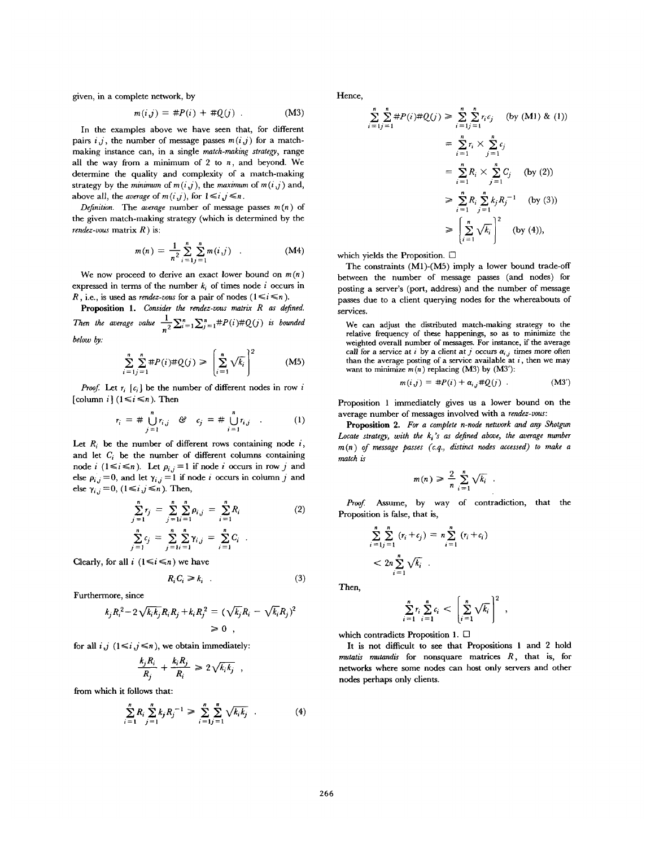given, in a complete network, by

$$
m(i,j) = #P(i) + #Q(j) . \qquad (M3)
$$

In the examples above we have seen that, for different pairs  $i, j$ , the number of message passes  $m(i, j)$  for a matchmaking instance can, in a single *match-making strategy,* range all the way from a minimum of  $2$  to  $n$ , and beyond. We determine the quality and complexity of a match-making strategy by the *minimum* of  $m(i, j)$ , the *maximum* of  $m(i, j)$  and, above all, the *average* of  $m(i,j)$ , for  $1 \le i, j \le n$ .

*Definition.* The *average* number of message passes  $m(n)$  of the given match-making strategy (which is determined by the *rendez-vous* matrix R ) is:

$$
m(n) = \frac{1}{n^2} \sum_{i=1}^{n} \sum_{j=1}^{n} m(i,j) \quad . \tag{M4}
$$

We now proceed to derive an exact lower bound on  $m(n)$ expressed in terms of the number  $k_i$  of times node i occurs in R, i.e., is used as *rendez-vous* for a pair of nodes  $(1 \le i \le n)$ .

Proposition 1. *Consider the rendez-vous matrix R as defined. Then the average value*  $\frac{1}{n^2}\sum_{i=1}^n\sum_{j=1}^n\#P(i)\#Q(j)$  *is bounded below by."* 

$$
\sum_{i=1}^{n} \sum_{j=1}^{n} \#P(i) \# Q(j) \geqslant \left( \sum_{i=1}^{n} \sqrt{k_i} \right)^2 \tag{M5}
$$

*Proof.* Let  $r_i$  [ $c_i$ ] be the number of different nodes in row i [column i]  $(1 \le i \le n)$ . Then

$$
r_i = # \bigcup_{j=1}^n r_{i,j} \quad \mathfrak{S} \quad c_j = # \bigcup_{i=1}^n r_{i,j} \quad . \tag{1}
$$

Let  $R_i$  be the number of different rows containing node  $i$ , and let  $C_i$  be the number of different columns containing node i  $(1 \le i \le n)$ . Let  $p_{i,j}=1$  if node i occurs in row j and else  $\rho_{i,j} = 0$ , and let  $\gamma_{i,j} = 1$  if node i occurs in column j and else  $\gamma_{i,j} = 0$ ,  $(1 \le i, j \le n)$ . Then,

$$
\sum_{j=1}^{n} r_j = \sum_{j=1}^{n} \sum_{i=1}^{n} \rho_{i,j} = \sum_{i=1}^{n} R_i
$$
\n
$$
\sum_{j=1}^{n} c_j = \sum_{j=1}^{n} \sum_{j=1}^{n} \gamma_{i,j} = \sum_{i=1}^{n} C_i
$$
\n(2)

Clearly, for all  $i$  ( $1 \le i \le n$ ) we have

$$
R_i C_i \ge k_i \tag{3}
$$

Furthermore, since

$$
k_j R_i^2 - 2\sqrt{k_i k_j} R_i R_j + k_i R_j^2 = (\sqrt{k_j} R_i - \sqrt{k_i} R_j)^2
$$
  
\n
$$
\geq 0,
$$

for all  $i, j \in \{1 \le i, j \le n\}$ , we obtain immediately:

$$
\frac{k_j R_i}{R_j} + \frac{k_i R_j}{R_i} \geq 2\sqrt{k_i k_j} ,
$$

from which it follows that:

$$
\sum_{i=1}^{n} R_i \sum_{j=1}^{n} k_j R_j^{-1} \geqslant \sum_{i=1}^{n} \sum_{j=1}^{n} \sqrt{k_i k_j} \quad . \tag{4}
$$

Hence,

$$
\sum_{i=1}^{n} \sum_{j=1}^{n} \#P(i) \# Q(j) \ge \sum_{i=1}^{n} \sum_{j=1}^{n} r_i c_j \quad \text{(by (M1) & (1))}
$$
\n
$$
= \sum_{i=1}^{n} r_i \times \sum_{j=1}^{n} c_j
$$
\n
$$
= \sum_{i=1}^{n} R_i \times \sum_{j=1}^{n} C_j \quad \text{(by (2))}
$$
\n
$$
\ge \sum_{i=1}^{n} R_i \sum_{j=1}^{n} k_j R_j^{-1} \quad \text{(by (3))}
$$
\n
$$
\ge \left(\sum_{i=1}^{n} \sqrt{k_i}\right)^2 \quad \text{(by (4)),}
$$

which yields the Proposition.  $\Box$ 

The constraints (M1)-(M5) imply a lower bound trade-off between the number of message passes (and nodes) for posting a server's (port, address) and the number of message passes due to a client querying nodes for the whereabouts of services.

We can adjust the distributed match-making strategy to the relative frequency of these happenings, so as to minimize the weighted overall number of messages. For instance, if the average call for a service at i by a client at j occurs  $a_{i,j}$  times more often than the average posting of a service available at  $i$ , then we may want to minimize  $m(n)$  replacing (M3) by (M3'):

$$
m(i,j) = #P(i) + \alpha_{i,j} #Q(j) . \qquad (M3')
$$

Proposition 1 immediately gives us a lower bound on the average number of messages involved with a *rendez-vons:* 

Proposition 2. *For a complete n-node network and any Shotgun*  Locate strategy, with the  $k_i$ 's as defined above, the average number  $m(n)$  of message passes (c.q., distinct nodes accessed) to make a *match is* 

$$
m(n) \geqslant \frac{2}{n} \sum_{i=1}^{n} \sqrt{k_i} \quad .
$$

Proof. Assume, by way of contradiction, that the Proposition is false, that is,

$$
\sum_{i=1}^{n} \sum_{j=1}^{n} (r_i + c_j) = n \sum_{i=1}^{n} (r_i + c_i)
$$
  
< 
$$
< 2n \sum_{i=1}^{n} \sqrt{k_i}.
$$

Then,

$$
\sum_{i=1}^n r_i \sum_{i=1}^n c_i < \left[\sum_{i=1}^n \sqrt{k_i}\right]^2,
$$

which contradicts Proposition 1.  $\Box$ 

It is not difficult to see that Propositions 1 and 2 hold *mutatis mutandis* for nonsquare matrices R, that is, for networks where some nodes can host only servers and other nodes perhaps only clients.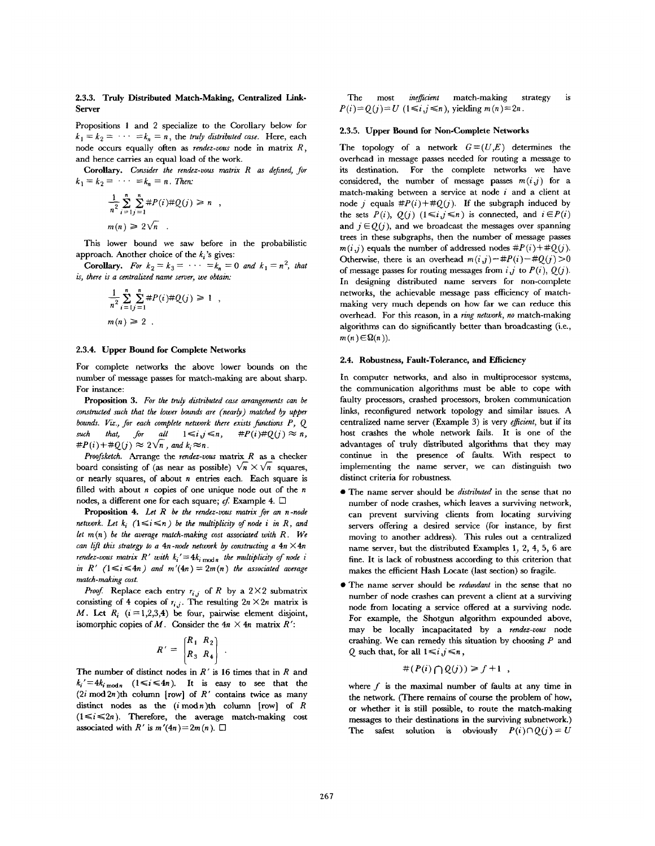# 2.3.3. Truly Distributed Match-Making, Centralized Link-Server

Propositions 1 and 2 specialize to the Corollary below for  $k_1 = k_2 = \cdots = k_n = n$ , the *truly distributed case*. Here, each node occurs equally often as *rendez-vous* node in matrix R, and hence carries an equal load of the work.

Corollary. *Consider the rendez-vous matrix R as defined, for*   $k_1 = k_2 = \cdots = k_n = n$ . Then:

$$
\frac{1}{n^2} \sum_{i=1}^{n} \sum_{j=1}^{n} \#P(i) \# Q(j) \ge n ,
$$
  

$$
m(n) \ge 2\sqrt{n} .
$$

This lower bound we saw before in the probabilistic approach. Another choice of the  $k_i$ 's gives:

**Corollary.** For  $k_2 = k_3 = \cdots = k_n = 0$  and  $k_1 = n^2$ , that *is, there is a centralized name server, we obtain:* 

$$
\frac{1}{n^2} \sum_{i=1}^{n} \sum_{j=1}^{n} \#P(i) \# Q(j) \ge 1 ,
$$
  

$$
m(n) \ge 2 .
$$

## 2.3.4. Upper Bound for Complete Networks

For complete networks the above lower bounds on the number of message passes for match-making are about sharp. For instance:

**Proposition** 3. *For the truly distributed case arrangements can be constructed such that the lower bounds are (nearly) matched by upper bounds. Viz., for each complete network there exists functions P, Q*  such that, for all  $1 \leq i, j \leq n$ ,  $\#P(i) \# Q(j) \approx n$ ,  $\#P(i) + \#Q(j) \approx 2\sqrt{n}$ , and  $k_i \approx n$ .

*Proof sketch.* Arrange the *rendez-voas* matrix R as a checker board consisting of (as near as possible)  $\sqrt{n} \times \sqrt{n}$  squares, or nearly squares, of about  $n$  entries each. Each square is filled with about  $n$  copies of one unique node out of the  $n$ nodes, a different one for each square; cf. Example 4.  $\Box$ 

**Proposition** 4. *Let R be the rendez-vous matrix for an n-node network. Let*  $k_i$   $(1 \le i \le n)$  be the multiplicity of node i in R, and *let m (n) be the average match-making cost associated with R. We can lift this strategy to a 4n-node network by constructing a 4n*  $\times$  4n *rendez-vous matrix*  $R'$  with  $k_i' = 4k_i \mod n$  the multiplicity of node i *in*  $R'$   $(1 \le i \le 4n)$  *and*  $m'(4n) = 2m(n)$  *the associated average match-making cost.* 

*Proof.* Replace each entry  $r_{i,j}$  of R by a 2×2 submatrix consisting of 4 copies of  $r_{i,j}$ . The resulting  $2n \times 2n$  matrix is *M.* Let  $R_i$   $(i = 1,2,3,4)$  be four, pairwise element disjoint, isomorphic copies of M. Consider the  $4n \times 4n$  matrix R':

$$
R' = \begin{bmatrix} R_1 & R_2 \\ R_3 & R_4 \end{bmatrix} .
$$

The number of distinct nodes in  $R'$  is 16 times that in  $R$  and  $k_i' = 4k_i \mod n$  ( $1 \le i \le 4n$ ). It is easy to see that the  $(2i \mod 2n)$ th column [row] of R' contains twice as many distinct nodes as the  $(i \mod n)$ th column [row] of  $R$  $(1 \le i \le 2n)$ . Therefore, the average match-making cost associated with R' is  $m'(4n) = 2m(n)$ .  $\Box$ 

The most *inefficient* match-making strategy is  $P(i) = Q(j) = U$  ( $1 \le i, j \le n$ ), yielding  $m(n) = 2n$ .

## 2.3.5. Upper Bound for Non-Complete **Networks**

The topology of a network  $G=(U,E)$  determines the overhead in message passes needed for routing a message to its destination. For the complete networks we have considered, the number of message passes  $m(i, j)$  for a match-making between a service at node  $i$  and a client at node *i* equals  $#P(i)+#O(j)$ . If the subgraph induced by the sets  $P(i)$ ,  $Q(j)$   $(1 \le i, j \le n)$  is connected, and  $i \in P(i)$ and  $j \in O(j)$ , and we broadcast the messages over spanning trees in these subgraphs, then the number of message passes  $m(i,j)$  equals the number of addressed nodes  $\#P(i)+\#Q(j)$ . Otherwise, there is an overhead  $m(i,j)-#P(i)-#Q(j)>0$ of message passes for routing messages from  $i, j$  to  $P(i), Q(j)$ . In designing distributed name servers for non-complete networks, the achievable message pass efficiency of matchmaking very much depends on how far we can reduce this overhead. For this reason, in a *ring network, no* match-making algorithms can do significantly better than broadcasting (i.e.,  $m(n) \in \Omega(n)$ ).

#### **2.4. Robustness, Fault-Tolerance, and Efficiency**

In computer networks, and also in multiprocessor systems, the communication algorithms must be able to cope with faulty processors, crashed processors, broken communication links, reconfigured network topology and similar issues. A centralized name server (Example 3) is very *efficient,* but if its host crashes the whole network fails. It is one of the advantages of truly distributed algorithms that they may continue in the presence of faults. With respect to implementing the name server, we can distinguish two distinct criteria for robustness.

- The name server should be *distributed* in the sense that no number of node crashes, which leaves a surviving network, can prevent surviving clients from locating surviving servers offering a desired service (for instance, by first moving to another address). This rules out a centralized name server, but the distributed Examples 1, 2, 4, 5, 6 are fine. It is lack of robustness according to this criterion that makes the efficient Hash Locate (last section) so fragile.
- The name server should be *redundant in* the sense that no number of node crashes can prevent a client at a surviving node from locating a service offered at a surviving node. For example, the Shotgun algorithm expounded above, may be locally incapacitated by a *rendez-vous node*  crashing. We can remedy this situation by choosing  $P$  and Q such that, for all  $1 \le i, j \le n$ ,

$$
\#(P(i)\bigcap Q(j)) \geq f+1 \ ,
$$

where  $f$  is the maximal number of faults at any time in the network. (There remains of course the problem of how, or whether it is still possible, to route the match-making messages to their destinations in the surviving subnetwork.) The safest solution is obviously  $P(i) \cap Q(j) = U$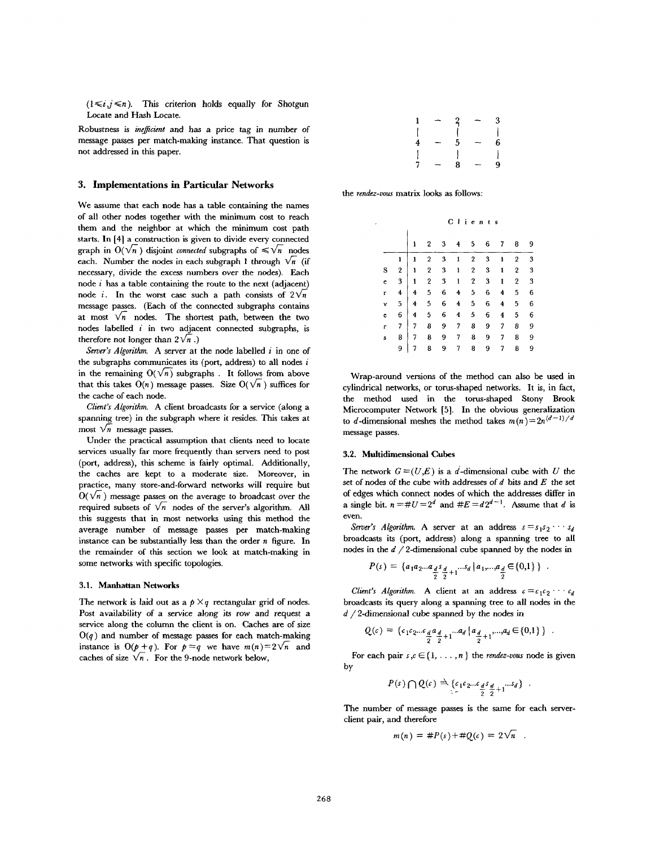$(1 \le i, j \le n)$ . This criterion holds equally for Shotgun Locate and Hash Locate.

Robustness is *inefficient* and has a price tag in number of message passes per match-making instance. That question is not addressed in this paper.

## **3. Implementations** in Particular **Networks**

We assume that each node has a table containing the names of all other nodes together with the minimum cost to reach them and the neighbor at which the minimum cost path starts. In [4] a construction is given to divide every connected graph in  $O(\sqrt{n})$  disjoint *connected* subgraphs of  $\leq \sqrt{n}$  nodes each. Number the nodes in each subgraph 1 through  $\sqrt{n}$  (if necessary, divide the excess numbers *over* the nodes). Each node  $i$  has a table containing the route to the next (adjacent) node *i*. In the worst case such a path consists of  $2\sqrt{n}$ message passes. (Each of the connected subgraphs contains at most  $\sqrt{n}$  nodes. The shortest path, between the two nodes labelled  $i$  in two adjacent connected subgraphs, is therefore not longer than  $2\sqrt{n}$ .)

*Server's Algorithm.* A server at the node labelled i in one of the subgraphs communicates its (port, address) to all nodes  $i$ in the remaining  $O(\sqrt{n})$  subgraphs. It follows from above that this takes  $O(n)$  message passes. Size  $O(\sqrt{n})$  suffices for the cache of each node.

*Client's Algorithm.* A client broadcasts for a service (along a spanning tree) in the subgraph where it resides. This takes at most  $\sqrt{n}$  message passes.

Under the practical assumption that clients need to locate services usually far more frequently than servers need to post (port, address), this scheme is fairly optimal. Additionally, the caches are kept to a moderate size. Moreover, in practice, many store-and-forward networks will require but  $O(\sqrt{n})$  message passes on the average to broadcast over the required subsets of  $\sqrt{n}$  nodes of the server's algorithm. All this suggests that in most networks using this method the average number of message passes per match-making instance can be substantially less than the order  $n$  figure. In the remainder of this section we look at match-making in some networks with specific topologies.

#### 3.1. Manhattan Networks

The network is laid out as a  $p \times q$  rectangular grid of nodes. Post availability of a service along its row and request a service along the column the client is on. Caches are of size  $O(q)$  and number of message passes for each match-making instance is  $O(p+q)$ . For  $p=q$  we have  $m(n)=2\sqrt{n}$  and caches of size  $\sqrt{n}$ . For the 9-node network below,

| 1 | -  | $\overline{a}$ | –  | 3 |
|---|----|----------------|----|---|
|   |    |                |    |   |
| 4 | -- | 5              | –  | 6 |
|   |    |                |    |   |
| ÷ | -- | 8              | -- | 9 |

the *rendez-vous* matrix looks as follows:

|   |                |   | ients<br>C I   |   |                    |                  |   |              |                |   |  |
|---|----------------|---|----------------|---|--------------------|------------------|---|--------------|----------------|---|--|
|   |                | 1 | 2              | 3 | 4                  | 5                | 6 | 7            | 8              | 9 |  |
|   | ı              | 1 | $\overline{2}$ | 3 | 1                  | $\mathbf 2$      | 3 | 1            | $\overline{2}$ | 3 |  |
| S | $\overline{2}$ | ı | $\mathbf 2$    | 3 | 1                  | $\overline{2}$   | 3 | 1            | $\overline{2}$ | 3 |  |
| e | 3              | 1 | $\overline{2}$ | 3 | $\mathbf{I}$       | $\boldsymbol{2}$ | 3 | $\mathbf{1}$ | $\overline{2}$ | 3 |  |
| r | $\overline{4}$ | 4 | 5              | 6 | 4                  | 5                | 6 | 4            | 5              | 6 |  |
| v | 5              | 4 | 5              | 6 | 4                  | 5                | 6 | 4            | 5              | 6 |  |
| ċ | 6              | 4 | 5              | 6 | $\overline{\bf 4}$ | 5                | 6 | 4            | 5              | 6 |  |
| r | 7              | 7 | 8              | 9 | 7                  | 8                | 9 | 7            | 8              | 9 |  |
| S | 8              | 7 | 8              | 9 | 7                  | 8                | 9 | 7            | 8              | 9 |  |
|   | 9              | 7 | 8              | 9 | 7                  | 8                | 9 | 7            | 8              | 9 |  |
|   |                |   |                |   |                    |                  |   |              |                |   |  |

Wrap-around versions of the method can also be used in cylindrical networks, or torus-shaped networks. It is, in fact, the method used in the torus-shaped Stony Brook Microcomputer Network [5]. In the obvious generalization to d-dimensional meshes the method takes  $m(n)=2n^{(d-1)/d}$ message passes.

#### 3.2. Multidimensional Cubes

The network  $G = (U, E)$  is a d-dimensional cube with U the set of nodes of the cube with addresses of  $d$  bits and  $E$  the set of edges which connect nodes of which the addresses differ in a single bit.  $n = \#U = 2^d$  and  $\#E = d2^{d-1}$ . Assume that d is even.

*Server's Algorithm.* A server at an address  $s = s_1 s_2 \cdots s_d$ broadcasts its (port, address) along a spanning tree to all nodes in the  $d/2$ -dimensional cube spanned by the nodes in

$$
P(s) = \left\{ a_1 a_2 ... a_d s_{\frac{d}{2}} s_{\frac{d}{2}+1} ... s_d \, | \, a_1,...,a_{\frac{d}{2}} \in \{0,1\} \right\} \ .
$$

*Client's Algorithm.* A client at an address  $c = c_1 c_2 \cdots c_d$ broadcasts its query along a spanning tree to all nodes in the  $d/2$ -dimensional cube spanned by the nodes in

$$
Q(c) = \{c_1c_2...c_{\frac{d}{2}}a_{\frac{d}{2}+1}...a_d | a_{\frac{d}{2}+1},...,a_d \in \{0,1\} \}.
$$

For each pair  $s, c \in \{1, \ldots, n\}$  the *rendez-vous* node is given by

$$
P(s) \bigcap Q(c) \stackrel{\Delta}{\rightarrow} \underbrace{\{c_1c_2...c_d s_d}_{\frac{d}{2}}}_{+1} \dots s_d \} .
$$

The number of message passes is the same for each serverclient pair, and therefore

$$
m(n) = \#P(s) + \#Q(c) = 2\sqrt{n}.
$$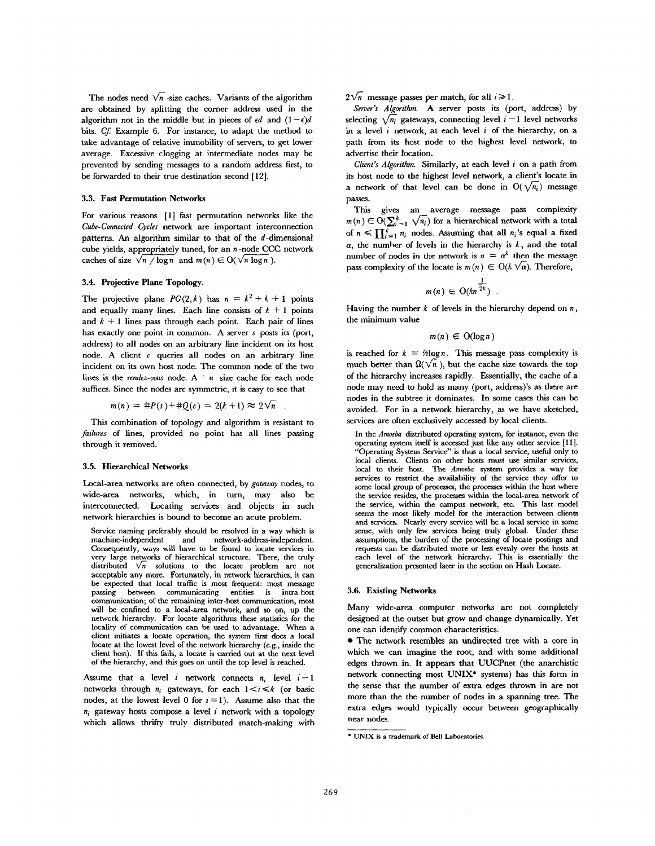The nodes need  $\sqrt{n}$  -size caches. Variants of the algorithm are obtained by splitting the corner address used in the algorithm not in the middle but in pieces of  $\epsilon d$  and  $(1-\epsilon)d$ bits. *Cf* Example 6. For instance, to adapt the method to take advantage of relative immobility of servers, to get lower average. Excessive clogging at intermediate nodes may be prevented by sending messages to a random address first, to be forwarded to their true destination second [12].

## **3.3. Fast Permutation Networks**

For various reasons [1] fast permutation networks like the *Cube-Connected Cycles* network are important interconnection patterns. An algorithm similar to that of the  $d$ -dimensional cube yields, appropriately tuned, for an  $n$ -node CCC network caches of size  $\sqrt{n}/\log n$  and  $m(n) \in O(\sqrt{n} \log n)$ .

# 3.4. Projective Plane Topology.

The projective plane  $PG(2, k)$  has  $n = k^2 + k + 1$  points and equally many lines. Each line consists of  $k + 1$  points and  $k + 1$  lines pass through each point. Each pair of lines has exactly one point in common. A server s posts its (port, address) to all nodes on an arbitrary line incident on its host node. A client  $c$  queries all nodes on an arbitrary line incident on its own host node. The common node of the two lines is the *rendez-vous* node. A ' n size cache for each node suffices. Since the nodes are symmetric, it is easy to see that

 $m(n) = #P(s) + #Q(c) = 2(k+1) \approx 2\sqrt{n}$ 

This combination of topology and algorithm is resistant to *failures* of lines, provided no point has all lines passing through it removed.

# 3.5. Hierarchical Networks

Local-area networks are often connected, by *gateway* nodes, to wide-area networks, which, in turn, may also be interconnected. Locating services and objects in such network hierarchies is bound to become an acute problem.

Service naming preferably should be resolved in a way which is machine-independent and network-address-independent. Consequently, ways will have to be found to locate services in very large networks of hierarchical structure. There, the truly distributed  $\sqrt{n}$  solutions to the locate problem are not acceptable any more. Fortunately, in network hierarchies, it can be expected that local traffic is most frequent: most message passing between communicating entities is intra-host communication; of the remaining inter-host communication, most will be confined to a local-area network, and so on, up the network hierarchy. For locate algorithms these statistics for the locality of communication can be used to advantage. When a client initiates a locate operation, the system first does a local locate at the lowest level of the network hierarchy (e.g., inside the client host). If this fails, a locate is carried out at the next level of the hierarchy, and this goes on until the top level is reached.

Assume that a level i network connects  $n_i$  level  $i-1$ . networks through  $n_i$  gateways, for each  $1 \le i \le k$  (or basic nodes, at the lowest level 0 for  $i = 1$ ). Assume also that the  $n_i$  gateway hosts compose a level i network with a topology which allows thrifty truly distributed match-making with  $2\sqrt{n}$  message passes per match, for all  $i\geq 1$ .

*Sewer's Algorithm.* A server posts its (port, address) by selecting  $\sqrt{n_i}$  gateways, connecting level  $i-1$  level networks in a level  $i$  network, at each level  $i$  of the hierarchy, on a path from its host node to the highest level network, to advertise their location.

*Client's Algorithm.* Similarly, at each level i on a path from its host node to the highest level network, a client's locate in a network of that level can be done in  $O(\sqrt{n_i})$  message passes.

This gives an average message pass complexity  $m(n) \in O(\sum_{i=1}^{k} \sqrt{n_i})$  for a hierarchical network with a total of  $n \leq \prod_{i=1}^k n_i$  nodes. Assuming that all  $n_i$ 's equal a fixed  $\alpha$ , the number of levels in the hierarchy is k, and the total number of nodes in the network is  $n = \alpha^k$  then the message pass complexity of the locate is  $m(n) \in O(k \sqrt{\alpha})$ . Therefore,

$$
m(n) \in \mathrm{O}(kn^{\frac{1}{2k}}) .
$$

Having the number  $k$  of levels in the hierarchy depend on  $n$ , the minimum value

$$
m(n) \in O(\log n)
$$

is reached for  $k = \frac{1}{2} \log n$ . This message pass complexity is much better than  $\Omega(\sqrt{n})$ , but the cache size towards the top of the hierarchy increases rapidly. Essentially, the cache of a node may need to hold as many (port, address)'s as there are nodes in the subtree it dominates. In some cases this can be avoided. For in a network hierarchy, as we have sketched, services are often exclusively accessed by local clients.

In the *Amoeba* distributed operating system, for instance, even the operating system itsself is accessed just like any other service [11]. "Operating System Service" is thus a local service, useful only to local clients. Clients on other hosts must use similar services, local to their host. *The Amoeba* system provides a way for services to restrict the availability of the service they offer to some local group of processes, the processes within the host where the service resides, the processes within the local-area network of the service, within the campus network, etc. This last model seems the most likely model for the interaction between clients and services. Nearly every service will be a local service in some sense, with only few services being truly global. Under these assumptions, the burden of the processing of locate postings and requests can be distributed more or less evenly over the hosts at each level of the network hierarchy. This is essentially the generalization presented later in the section on Hash Locate.

## 3.6. Existing Networks

Many wide-area computer networks are not completely designed at the outset but grow and change dynamically. Yet one can identify common characteristics.

• The network resembles an undirected tree with a core in which we can imagine the root, and with some additional edges thrown in. It appears that UUCPnet (the anarchistic network connecting most UNIX\* systems) has this form in the sense that the number of extra edges thrown in are not more than the the number of nodes in a spanning tree. The extra edges would typically occur between geographically near nodes.

<sup>\*</sup> UNIX is a trademark of Bell Laboratories.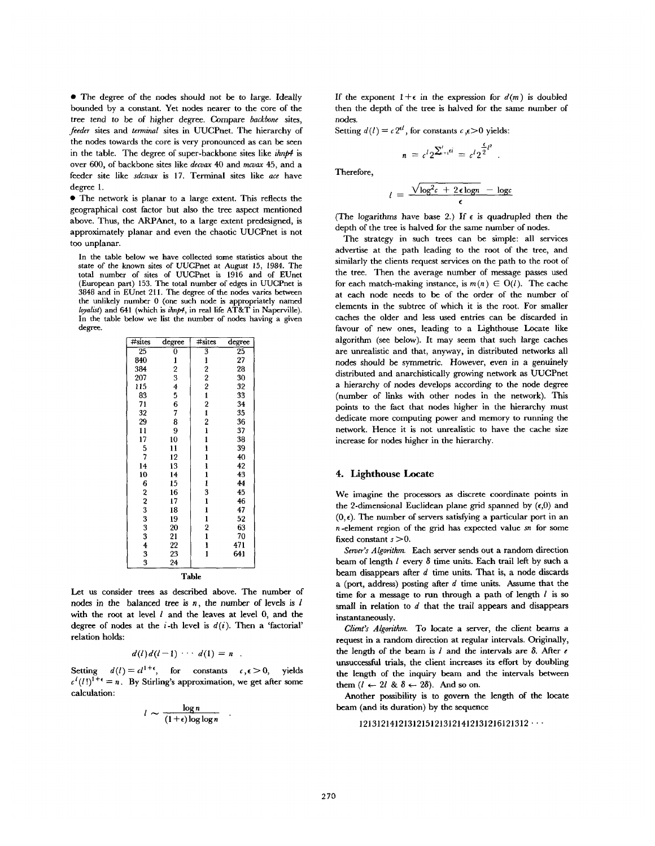• The degree of the nodes should not be to large. Ideally bounded by a constant. Yet nodes nearer to the core of the tree tend to be of higher degree. Compare *backbone* sites, *feeder* sites and *terminal* sites in UUCPnet. The hierarchy of the nodes towards the core is very pronounced as can be seen in the table. The degree of super-backbone sites like *ihnp4* is over 600, of backbone sites like *decvax* 40 and mcvax 45, and a feeder site like *sdcsvax* is 17. Terminal sites like *ace* have degree 1.

• The network is planar to a large extent. This reflects the geographical cost factor but also the tree aspect mentioned above. Thus, the ARPAnet, to a large extent predesigned, is approximately planar and even the chaotic UUCPnet is not too unplanar.

In the table below we have collected some statistics about the state of the known sites of UUCPnet at August 15, 1984. The total number of sites of UUCPnet is 1916 and of EUnet (European part) 153. The total number of edges in UUCPnet is 3848 and in EUnet 211. The degree of the nodes varies between the unlikely number 0 (one such node is appropriately named loyalist) and 641 (which is ihnp4, in real life AT&T in Naperville). In the table below we list the number of nodes having a given degree.

| #sites          | degree                  | $\#$ sites                                 | degree          |  |  |  |  |  |  |  |
|-----------------|-------------------------|--------------------------------------------|-----------------|--|--|--|--|--|--|--|
| $\overline{25}$ | 0                       | 3                                          | $\overline{25}$ |  |  |  |  |  |  |  |
| 840             | 1                       | 1                                          | 27              |  |  |  |  |  |  |  |
| 384             | $\overline{\mathbf{c}}$ | $\overline{\mathbf{c}}$                    | 28              |  |  |  |  |  |  |  |
| 207             | 3                       | $\frac{2}{2}$                              | 30              |  |  |  |  |  |  |  |
| 115             | $\overline{\mathbf{4}}$ |                                            | 32              |  |  |  |  |  |  |  |
| 83              | 5                       |                                            | 33              |  |  |  |  |  |  |  |
| 71              | 6                       | $\frac{1}{2}$                              | 34              |  |  |  |  |  |  |  |
| 32              | 7                       |                                            | 35              |  |  |  |  |  |  |  |
| 29              | 8                       | $\overline{\mathbf{c}}$                    | 36              |  |  |  |  |  |  |  |
| 11              | 9                       |                                            | 37              |  |  |  |  |  |  |  |
| 17              | 10                      |                                            | 38              |  |  |  |  |  |  |  |
| 5               | 11                      | $\frac{1}{1}$                              | 39              |  |  |  |  |  |  |  |
| 7               | 12                      | $\mathbf{1}$                               | 40              |  |  |  |  |  |  |  |
| 14              | 13                      | $\frac{1}{1}$                              | 42              |  |  |  |  |  |  |  |
| 10              | 14                      |                                            | 43              |  |  |  |  |  |  |  |
| 6               | 15                      | $\mathbf{1}$                               | 44              |  |  |  |  |  |  |  |
| 2               | 16                      | 3                                          | 45              |  |  |  |  |  |  |  |
| 2               | 17                      |                                            | 46              |  |  |  |  |  |  |  |
| 3               | 18                      | $\begin{array}{c} 1 \\ 1 \\ 1 \end{array}$ | 47              |  |  |  |  |  |  |  |
| 3               | 19                      |                                            | 52              |  |  |  |  |  |  |  |
| 3               | 20                      | $\overline{\mathbf{c}}$                    | 63              |  |  |  |  |  |  |  |
| 3               | 21                      | $\mathbf{1}$                               | 70              |  |  |  |  |  |  |  |
| 4               | 22                      | $\frac{1}{1}$                              | 471             |  |  |  |  |  |  |  |
| 3               | 23                      |                                            | 641             |  |  |  |  |  |  |  |
| 3               | 24                      |                                            |                 |  |  |  |  |  |  |  |
| Table           |                         |                                            |                 |  |  |  |  |  |  |  |

Let us consider trees as described above. The number of nodes in the balanced tree is  $n$ , the number of levels is  $l$ with the root at level  $l$  and the leaves at level  $0$ , and the degree of nodes at the *i*-th level is  $d(i)$ . Then a 'factorial' relation holds:

$$
d(l) d(l-1) \cdots d(1) = n
$$

Setting  $d(l) = cl^{1+\epsilon}$ , for constants  $c, \epsilon > 0$ , yields  $c^{l}(l!)^{\tilde{1}+\epsilon} = n$ . By Stirling's approximation, we get after some calculation:

$$
l \sim \frac{\log n}{(1+\epsilon)\log\log n}
$$

If the exponent  $1+\epsilon$  in the expression for  $d(m)$  is doubled then the depth of the tree is halved for the same number of nodes.

Setting  $d(l) = c 2^{\epsilon l}$ , for constants  $c \in \epsilon > 0$  yields:

$$
n = c^l 2^{\sum_{i=1}^l \epsilon i} = c^l 2^{\frac{\epsilon}{2}l^2}
$$

Therefore,

$$
l = \frac{\sqrt{\log^2 c + 2\epsilon \log n}}{\epsilon} - \log c
$$

(The logarithms have base 2.) If  $\epsilon$  is quadrupled then the depth of the tree is halved for the same number of nodes.

The strategy in such trees can be simple: all services advertise at the path leading to the root of the tree, and similarly the clients request services on the path to the root of the tree. Then the average number of message passes used for each match-making instance, is  $m(n) \in O(l)$ . The cache at each node needs to be of the order of the number of elements in the subtree of which it is the root. For smaller caches the older and less used entries can be discarded in favour of new ones, leading to a Lighthouse Locate like algorithm (see below). It may seem that such large caches are unrealistic and that, anyway, in distributed networks all nodes should be symmetric. However, even in a genuinely distributed and anarchistically growing network as UUCPnet a hierarchy of nodes develops according to the node degree (number of links with other nodes in the network). This points to the fact that nodes higher in the hierarchy must dedicate more computing power and memory to running the network. Hence it is not unrealistic to have the cache size increase for nodes higher in the hierarchy.

## 4. Lighthouse Locate

We imagine the processors as discrete coordinate points in the 2-dimensional Euclidean plane grid spanned by  $(\epsilon,0)$  and  $(0, \epsilon)$ . The number of servers satisfying a particular port in an  $n$ -element region of the grid has expected value  $sn$  for some fixed constant  $s > 0$ .

*Server's Algorithm.* Each server sends out a random direction beam of length  $l$  every  $\delta$  time units. Each trail left by such a beam disappears after  $d$  time units. That is, a node discards a (port, address) posting after  $d$  time units. Assume that the time for a message to run through a path of length  $l$  is so small in relation to  $d$  that the trail appears and disappears instantaneously.

*Client's Algorithm.* To locate a server, the client beams a request in a random direction at regular intervals. Originally, the length of the beam is  $l$  and the intervals are  $\delta$ . After  $e$ unsuccessful trials, the client increases its effort by doubling the length of the inquiry beam and the intervals between them  $(l \leftarrow 2l \& \delta \leftarrow 2\delta)$ . And so on.

Another possibility is to govern the length of the locate beam (and its duration) by the sequence

 $12131214121312151213121412131216121312 \cdots$